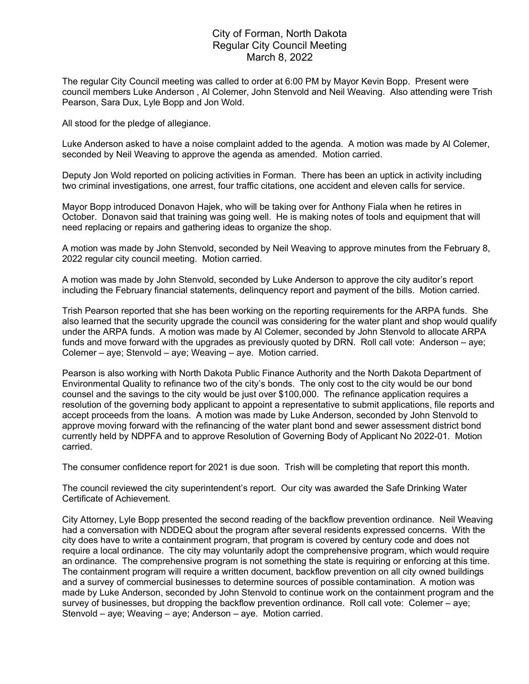## City of Forman, North Dakota Regular City Council Meeting March 8, 2022

The regular City Council meeting was called to order at 6:00 PM by Mayor Kevin Bopp. Present were council members Luke Anderson , Al Colemer, John Stenvold and Neil Weaving. Also attending were Trish Pearson, Sara Dux, Lyle Bopp and Jon Wold.

All stood for the pledge of allegiance.

Luke Anderson asked to have a noise complaint added to the agenda. A motion was made by Al Colemer, seconded by Neil Weaving to approve the agenda as amended. Motion carried.

Deputy Jon Wold reported on policing activities in Forman. There has been an uptick in activity including two criminal investigations, one arrest, four traffic citations, one accident and eleven calls for service.

Mayor Bopp introduced Donavon Hajek, who will be taking over for Anthony Fiala when he retires in October. Donavon said that training was going well. He is making notes of tools and equipment that will need replacing or repairs and gathering ideas to organize the shop.

A motion was made by John Stenvold, seconded by Neil Weaving to approve minutes from the February 8, 2022 regular city council meeting. Motion carried.

A motion was made by John Stenvold, seconded by Luke Anderson to approve the city auditor's report including the February financial statements, delinquency report and payment of the bills. Motion carried.

Trish Pearson reported that she has been working on the reporting requirements for the ARPA funds. She also learned that the security upgrade the council was considering for the water plant and shop would qualify under the ARPA funds. A motion was made by Al Colemer, seconded by John Stenvold to allocate ARPA funds and move forward with the upgrades as previously quoted by DRN. Roll call vote: Anderson – aye; Colemer – aye; Stenvold – aye; Weaving – aye. Motion carried.

Pearson is also working with North Dakota Public Finance Authority and the North Dakota Department of Environmental Quality to refinance two of the city's bonds. The only cost to the city would be our bond counsel and the savings to the city would be just over \$100,000. The refinance application requires a resolution of the governing body applicant to appoint a representative to submit applications, file reports and accept proceeds from the loans. A motion was made by Luke Anderson, seconded by John Stenvold to approve moving forward with the refinancing of the water plant bond and sewer assessment district bond currently held by NDPFA and to approve Resolution of Governing Body of Applicant No 2022-01. Motion carried.

The consumer confidence report for 2021 is due soon. Trish will be completing that report this month.

The council reviewed the city superintendent's report. Our city was awarded the Safe Drinking Water Certificate of Achievement.

City Attorney, Lyle Bopp presented the second reading of the backflow prevention ordinance. Neil Weaving had a conversation with NDDEQ about the program after several residents expressed concerns. With the city does have to write a containment program, that program is covered by century code and does not require a local ordinance. The city may voluntarily adopt the comprehensive program, which would require an ordinance. The comprehensive program is not something the state is requiring or enforcing at this time. The containment program will require a written document, backflow prevention on all city owned buildings and a survey of commercial businesses to determine sources of possible contamination. A motion was made by Luke Anderson, seconded by John Stenvold to continue work on the containment program and the survey of businesses, but dropping the backflow prevention ordinance. Roll call vote: Colemer – aye; Stenvold – aye; Weaving – aye; Anderson – aye. Motion carried.